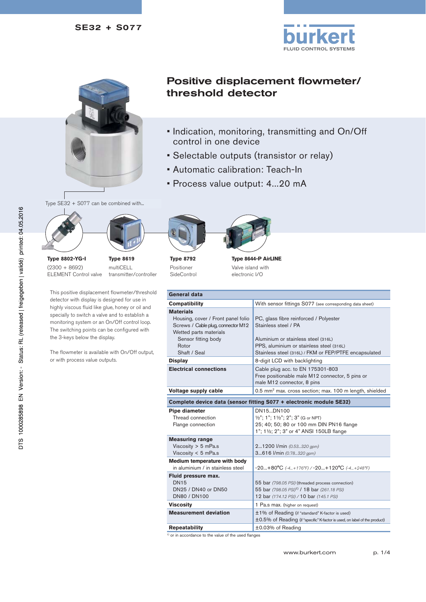



Positive displacement flowmeter/ threshold detector

- Indication, monitoring, transmitting and On/Off control in one device
- Selectable outputs (transistor or relay)
- Automatic calibration: Teach-In
- Process value output: 4...20 mA

Type SE32 + S077 can be combined with...



**Type 8619** multiCELL

transmitter/controller

**Type 8802-YG-I** (2300 + 8692) ELEMENT Control valve

This positive displacement flowmeter/threshold detector with display is designed for use in highly viscous fluid like glue, honey or oil and specially to switch a valve and to establish a monitoring system or an On/Off control loop. The switching points can be configured with the 3-keys below the display.

The flowmeter is available with On/Off output, or with process value outputs.



**Type 8792** Positioner SideControl



**Type 8644-P AirLINE** Valve island with electronic I/O

| General data                                                                                                                                                           |                                                                                                                                                                                                            |  |
|------------------------------------------------------------------------------------------------------------------------------------------------------------------------|------------------------------------------------------------------------------------------------------------------------------------------------------------------------------------------------------------|--|
| <b>Compatibility</b>                                                                                                                                                   | With sensor fittings S077 (see corresponding data sheet)                                                                                                                                                   |  |
| <b>Materials</b><br>Housing, cover / Front panel folio<br>Screws / Cable plug, connector M12<br>Wetted parts materials<br>Sensor fitting body<br>Rotor<br>Shaft / Seal | PC, glass fibre reinforced / Polyester<br>Stainless steel / PA<br>Aluminium or stainless steel (316L)<br>PPS, aluminium or stainless steel (316L)<br>Stainless steel (316L) / FKM or FEP/PTFE encapsulated |  |
| <b>Display</b>                                                                                                                                                         | 8-digit LCD with backlighting                                                                                                                                                                              |  |
| <b>Electrical connections</b>                                                                                                                                          | Cable plug acc. to EN 175301-803<br>Free positionable male M12 connector, 5 pins or<br>male M12 connector, 8 pins                                                                                          |  |
| Voltage supply cable                                                                                                                                                   | 0.5 mm <sup>2</sup> max. cross section; max. 100 m length, shielded                                                                                                                                        |  |
| Complete device data (sensor fitting S077 + electronic module SE32)                                                                                                    |                                                                                                                                                                                                            |  |
| Pipe diameter<br>Thread connection<br>Flange connection                                                                                                                | DN15DN100<br>1/2"; 1"; 11/2"; 2"; 3" (G or NPT)<br>25; 40; 50; 80 or 100 mm DIN PN16 flange<br>1"; 11/2; 2"; 3" or 4" ANSI 150LB flange                                                                    |  |
| <b>Measuring range</b><br>Viscosity $> 5$ mPa.s<br>Viscosity $<$ 5 mPa.s                                                                                               | 21200 l/min (0.53320 gpm)<br>3616 l/min (0.78320 gpm)                                                                                                                                                      |  |
| Medium temperature with body<br>in aluminium / in stainless steel                                                                                                      | $-20+80^{\circ}C$ (-4+176°F) / -20+120°C (-4+248°F)                                                                                                                                                        |  |
| Fluid pressure max.<br><b>DN15</b><br>DN25 / DN40 or DN50<br>DN80 / DN100                                                                                              | 55 bar (798.05 PSI) (threaded process connection)<br>55 bar (798.05 PSI) <sup>1)</sup> / 18 bar (261.18 PSI)<br>12 bar (174.12 PSI) / 10 bar (145.1 PSI)                                                   |  |
| <b>Viscosity</b>                                                                                                                                                       | 1 Pa.s max. (higher on request)                                                                                                                                                                            |  |
| <b>Measurement deviation</b>                                                                                                                                           | ±1% of Reading (if "standard" K-factor is used)<br>±0.5% of Reading (if "specific" K-factor is used, on label of the product)                                                                              |  |
| <b>Repeatability</b>                                                                                                                                                   | ±0.03% of Reading                                                                                                                                                                                          |  |

<sup>1)</sup> or in accordance to the value of the used flanges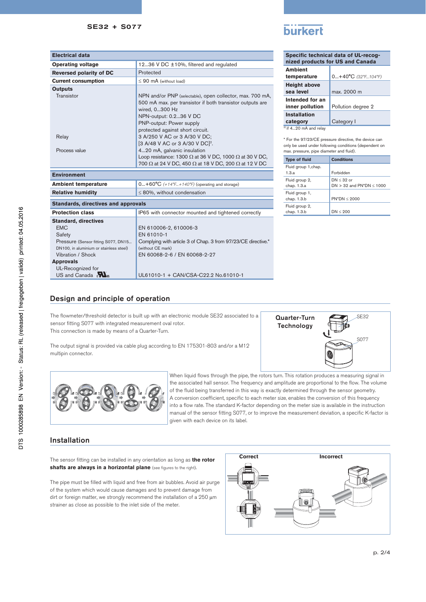| <b>Electrical data</b>                                 |                                                                                                                                                                                                                                                                                                                                                                                                                                                                                                       |
|--------------------------------------------------------|-------------------------------------------------------------------------------------------------------------------------------------------------------------------------------------------------------------------------------------------------------------------------------------------------------------------------------------------------------------------------------------------------------------------------------------------------------------------------------------------------------|
| <b>Operating voltage</b>                               | 12.36 V DC ±10%, filtered and regulated                                                                                                                                                                                                                                                                                                                                                                                                                                                               |
| Reversed polarity of DC                                | Protected                                                                                                                                                                                                                                                                                                                                                                                                                                                                                             |
| <b>Current consumption</b>                             | $\leq 90$ mA (without load)                                                                                                                                                                                                                                                                                                                                                                                                                                                                           |
| <b>Outputs</b><br>Transistor<br>Relay<br>Process value | NPN and/or PNP (selectable), open collector, max. 700 mA,<br>500 mA max. per transistor if both transistor outputs are<br>wired, 0300 Hz<br>NPN-output: 0.236 V DC<br>PNP-output: Power supply<br>protected against short circuit.<br>3 A/250 V AC or 3 A/30 V DC:<br>[3 A/48 V AC or 3 A/30 V DC <sup>[2</sup> .<br>420 mA, galvanic insulation<br>Loop resistance: 1300 $\Omega$ at 36 V DC, 1000 $\Omega$ at 30 V DC,<br>700 $\Omega$ at 24 V DC, 450 $\Omega$ at 18 V DC, 200 $\Omega$ at 12 V DC |
| <b>Environment</b>                                     |                                                                                                                                                                                                                                                                                                                                                                                                                                                                                                       |

| . |  |
|---|--|
|   |  |

ŀ

| Specific technical data of UL-recog-<br>nized products for US and Canada |                                          |  |
|--------------------------------------------------------------------------|------------------------------------------|--|
| <b>Ambient</b><br>temperature                                            | $0+40^{\circ}C(32^{\circ}F104^{\circ}F)$ |  |
| <b>Height above</b><br>sea level                                         | max. 2000 m                              |  |
| Intended for an<br>inner pollution                                       | Pollution degree 2                       |  |
| <b>Installation</b>                                                      |                                          |  |
| category                                                                 | Category I                               |  |
| $2$ ) if 420 mA and relay                                                |                                          |  |

\* For the 97/23/CE pressure directive, the device can only be used under following conditions (dependent on max. pressure, pipe diameter and fluid).

| <b>Type of fluid</b>          | <b>Conditions</b>                               |
|-------------------------------|-------------------------------------------------|
| Fluid group 1, chap.<br>1.3.a | Forbidden                                       |
| Fluid group 2,<br>chap. 1.3.a | $DN < 32$ or<br>DN $>$ 32 and PN*DN $\leq$ 1000 |
| Fluid group 1,<br>chap. 1.3.b | $PN^*DN < 2000$                                 |
| Fluid group 2,<br>chap. 1.3.b | DN < 200                                        |
|                               |                                                 |

SE32

S077

| <b>Ambient temperature</b>                                                     | $0+60^{\circ}C$ (+14°F+140°F) (operating and storage)         |  |  |
|--------------------------------------------------------------------------------|---------------------------------------------------------------|--|--|
| <b>Relative humidity</b>                                                       | $\leq$ 80%, without condensation                              |  |  |
|                                                                                |                                                               |  |  |
| <b>Standards, directives and approvals</b>                                     |                                                               |  |  |
| <b>Protection class</b><br>IP65 with connector mounted and tightened correctly |                                                               |  |  |
| <b>Standard, directives</b>                                                    |                                                               |  |  |
| <b>EMC</b>                                                                     | EN 610006-2, 610006-3                                         |  |  |
| Safety                                                                         | FN 61010-1                                                    |  |  |
| Pressure (Sensor fitting S077, DN15                                            | Complying with article 3 of Chap. 3 from 97/23/CE directive.* |  |  |
| DN100, in aluminium or stainless steel)                                        | (without CE mark)                                             |  |  |
| Vibration / Shock                                                              | EN 60068-2-6 / EN 60068-2-27                                  |  |  |
| <b>Approvals</b>                                                               |                                                               |  |  |
| UL-Recognized for                                                              |                                                               |  |  |
| US and Canada $\mathbf{W}_{\text{us}}$                                         | UL61010-1 + CAN/CSA-C22.2 No.61010-1                          |  |  |

# Design and principle of operation

The flowmeter/threshold detector is built up with an electronic module SE32 associated to a sensor fitting S077 with integrated measurement oval rotor. This connection is made by means of a Quarter-Turn.

The output signal is provided via cable plug according to EN 175301-803 and/or a M12 multipin connector.





When liquid flows through the pipe, the rotors turn. This rotation produces a measuring signal in the associated hall sensor. The frequency and amplitude are proportional to the flow. The volume of the fluid being transferred in this way is exactly determined through the sensor geometry. A conversion coefficient, specific to each meter size, enables the conversion of this frequency into a flow rate. The standard K-factor depending on the meter size is available in the instruction manual of the sensor fitting S077, or to improve the measurement deviation, a specific K-factor is given with each device on its label.

# Installation

The sensor fitting can be installed in any orientation as long as **the rotor shafts are always in a horizontal plane** (see figures to the right).

The pipe must be filled with liquid and free from air bubbles. Avoid air purge of the system which would cause damages and to prevent damage from dirt or foreign matter, we strongly recommend the installation of a  $250 \mu m$ strainer as close as possible to the inlet side of the meter.

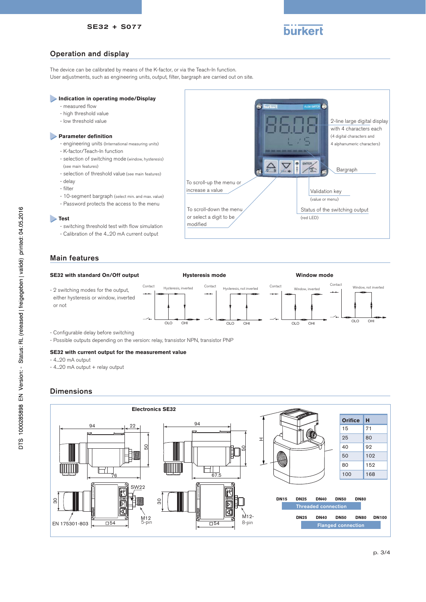# **burkert**

2-line large digital display

OLO OHI OLO OHI

# Operation and display

The device can be calibrated by means of the K-factor, or via the Teach-In function. User adjustments, such as engineering units, output, filter, bargraph are carried out on site.

### **Indication in operating mode/Display**

- measured flow
- high threshold value
- low threshold value

#### **Parameter definition**

- engineering units (International measuring units)
- K-factor/Teach-In function
- selection of switching mode (window, hysteresis) (see main features)
- selection of threshold value (see main features)
- delay
- filter
- 
- 10-segment bargraph (select min. and max. value)
- Password protects the access to the menu

#### **Test**

- switching threshold test with flow simulation
- Calibration of the 4...20 mA current output

# Main features

#### **SE32 with standard On/Off output**





- Configurable delay before switching
- Possible outputs depending on the version: relay, transistor NPN, transistor PNP

#### **SE32 with current output for the measurement value**

- 4...20 mA output
- 4...20 mA output + relay output

## **Dimensions**



OLO OHI OLO OHI